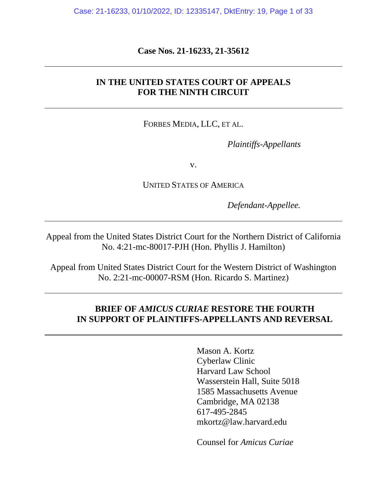**Case Nos. 21-16233, 21-35612**

## **IN THE UNITED STATES COURT OF APPEALS FOR THE NINTH CIRCUIT**

FORBES MEDIA, LLC, ET AL.

*Plaintiffs-Appellants*

v.

UNITED STATES OF AMERICA

*Defendant-Appellee.*

Appeal from the United States District Court for the Northern District of California No. 4:21-mc-80017-PJH (Hon. Phyllis J. Hamilton)

Appeal from United States District Court for the Western District of Washington No. 2:21-mc-00007-RSM (Hon. Ricardo S. Martinez)

## **BRIEF OF** *AMICUS CURIAE* **RESTORE THE FOURTH IN SUPPORT OF PLAINTIFFS-APPELLANTS AND REVERSAL**

Mason A. Kortz Cyberlaw Clinic Harvard Law School Wasserstein Hall, Suite 5018 1585 Massachusetts Avenue Cambridge, MA 02138 617-495-2845 mkortz@law.harvard.edu

Counsel for *Amicus Curiae*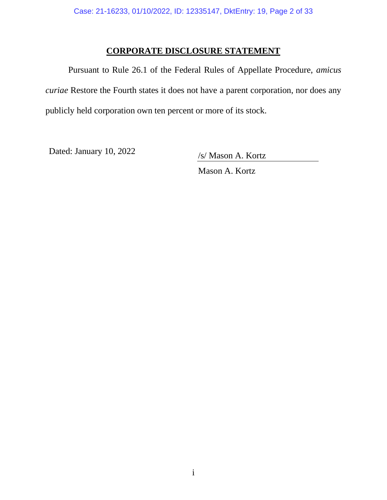# **CORPORATE DISCLOSURE STATEMENT**

Pursuant to Rule 26.1 of the Federal Rules of Appellate Procedure, *amicus curiae* Restore the Fourth states it does not have a parent corporation, nor does any publicly held corporation own ten percent or more of its stock.

Dated: January 10, 2022 /s/ Mason A. Kortz

Mason A. Kortz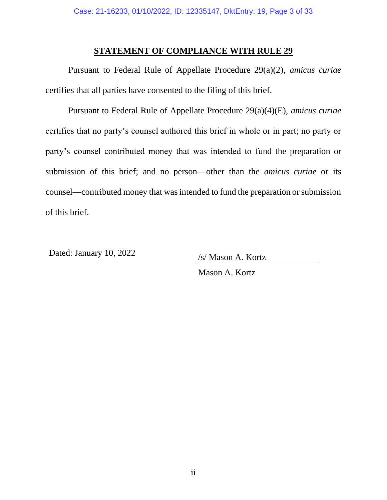#### **STATEMENT OF COMPLIANCE WITH RULE 29**

Pursuant to Federal Rule of Appellate Procedure 29(a)(2), *amicus curiae* certifies that all parties have consented to the filing of this brief.

Pursuant to Federal Rule of Appellate Procedure 29(a)(4)(E), *amicus curiae* certifies that no party's counsel authored this brief in whole or in part; no party or party's counsel contributed money that was intended to fund the preparation or submission of this brief; and no person—other than the *amicus curiae* or its counsel—contributed money that was intended to fund the preparation or submission of this brief.

Dated: January 10, 2022 /s/ Mason A. Kortz

Mason A. Kortz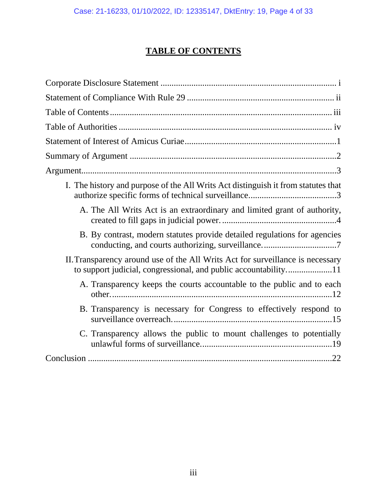# **TABLE OF CONTENTS**

| I. The history and purpose of the All Writs Act distinguish it from statutes that |
|-----------------------------------------------------------------------------------|
| A. The All Writs Act is an extraordinary and limited grant of authority,          |
| B. By contrast, modern statutes provide detailed regulations for agencies         |
| II. Transparency around use of the All Writs Act for surveillance is necessary    |
| A. Transparency keeps the courts accountable to the public and to each            |
| B. Transparency is necessary for Congress to effectively respond to               |
| C. Transparency allows the public to mount challenges to potentially              |
|                                                                                   |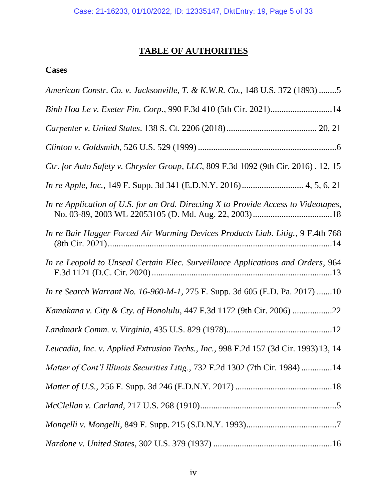# **TABLE OF AUTHORITIES**

# **Cases**

| American Constr. Co. v. Jacksonville, T. & K.W.R. Co., 148 U.S. 372 (1893) 5         |
|--------------------------------------------------------------------------------------|
| Binh Hoa Le v. Exeter Fin. Corp., 990 F.3d 410 (5th Cir. 2021)14                     |
|                                                                                      |
|                                                                                      |
| Ctr. for Auto Safety v. Chrysler Group, LLC, 809 F.3d 1092 (9th Cir. 2016). 12, 15   |
|                                                                                      |
| In re Application of U.S. for an Ord. Directing X to Provide Access to Videotapes,   |
| In re Bair Hugger Forced Air Warming Devices Products Liab. Litig., 9 F.4th 768      |
| In re Leopold to Unseal Certain Elec. Surveillance Applications and Orders, 964      |
| <i>In re Search Warrant No. 16-960-M-1, 275 F. Supp. 3d 605 (E.D. Pa. 2017) 10</i>   |
| Kamakana v. City & Cty. of Honolulu, 447 F.3d 1172 (9th Cir. 2006) 22                |
|                                                                                      |
| Leucadia, Inc. v. Applied Extrusion Techs., Inc., 998 F.2d 157 (3d Cir. 1993) 13, 14 |
| Matter of Cont'l Illinois Securities Litig., 732 F.2d 1302 (7th Cir. 1984) 14        |
|                                                                                      |
|                                                                                      |
|                                                                                      |
|                                                                                      |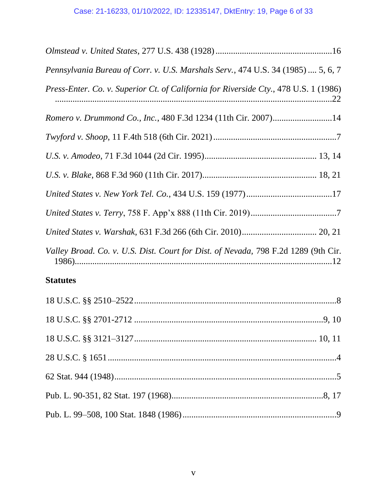| Pennsylvania Bureau of Corr. v. U.S. Marshals Serv., 474 U.S. 34 (1985)  5, 6, 7     |
|--------------------------------------------------------------------------------------|
| Press-Enter. Co. v. Superior Ct. of California for Riverside Cty., 478 U.S. 1 (1986) |
| Romero v. Drummond Co., Inc., 480 F.3d 1234 (11th Cir. 2007)14                       |
|                                                                                      |
|                                                                                      |
|                                                                                      |
|                                                                                      |
|                                                                                      |
|                                                                                      |
| Valley Broad. Co. v. U.S. Dist. Court for Dist. of Nevada, 798 F.2d 1289 (9th Cir.   |

# **Statutes**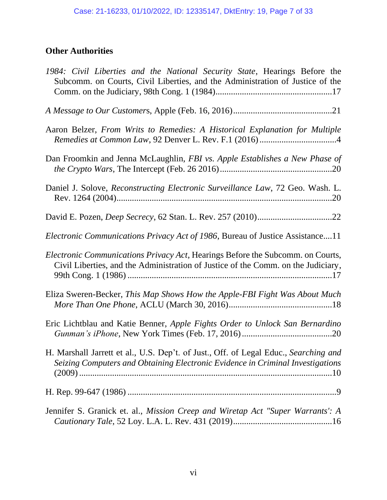# **Other Authorities**

| 1984: Civil Liberties and the National Security State, Hearings Before the<br>Subcomm. on Courts, Civil Liberties, and the Administration of Justice of the            |
|------------------------------------------------------------------------------------------------------------------------------------------------------------------------|
|                                                                                                                                                                        |
| Aaron Belzer, From Writs to Remedies: A Historical Explanation for Multiple                                                                                            |
| Dan Froomkin and Jenna McLaughlin, FBI vs. Apple Establishes a New Phase of                                                                                            |
| Daniel J. Solove, Reconstructing Electronic Surveillance Law, 72 Geo. Wash. L.                                                                                         |
|                                                                                                                                                                        |
| <i>Electronic Communications Privacy Act of 1986</i> , Bureau of Justice Assistance11                                                                                  |
| Electronic Communications Privacy Act, Hearings Before the Subcomm. on Courts,<br>Civil Liberties, and the Administration of Justice of the Comm. on the Judiciary,    |
| Eliza Sweren-Becker, This Map Shows How the Apple-FBI Fight Was About Much                                                                                             |
| Eric Lichtblau and Katie Benner, Apple Fights Order to Unlock San Bernardino                                                                                           |
| H. Marshall Jarrett et al., U.S. Dep't. of Just., Off. of Legal Educ., Searching and<br>Seizing Computers and Obtaining Electronic Evidence in Criminal Investigations |
|                                                                                                                                                                        |
| Jennifer S. Granick et. al., Mission Creep and Wiretap Act "Super Warrants': A                                                                                         |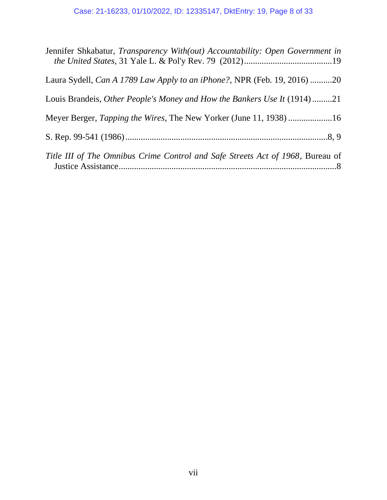# Case: 21-16233, 01/10/2022, ID: 12335147, DktEntry: 19, Page 8 of 33

| Jennifer Shkabatur, Transparency With(out) Accountability: Open Government in   |
|---------------------------------------------------------------------------------|
| Laura Sydell, Can A 1789 Law Apply to an iPhone?, NPR (Feb. 19, 2016) 20        |
| Louis Brandeis, <i>Other People's Money and How the Bankers Use It</i> (1914)21 |
| Meyer Berger, Tapping the Wires, The New Yorker (June 11, 1938) 16              |
|                                                                                 |
| Title III of The Omnibus Crime Control and Safe Streets Act of 1968, Bureau of  |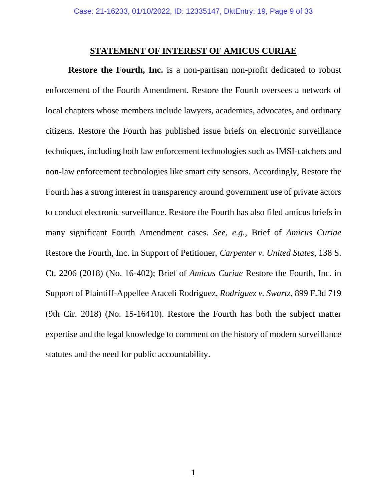#### **STATEMENT OF INTEREST OF AMICUS CURIAE**

**Restore the Fourth, Inc.** is a non-partisan non-profit dedicated to robust enforcement of the Fourth Amendment. Restore the Fourth oversees a network of local chapters whose members include lawyers, academics, advocates, and ordinary citizens. Restore the Fourth has published issue briefs on electronic surveillance techniques, including both law enforcement technologies such as IMSI-catchers and non-law enforcement technologies like smart city sensors. Accordingly, Restore the Fourth has a strong interest in transparency around government use of private actors to conduct electronic surveillance. Restore the Fourth has also filed amicus briefs in many significant Fourth Amendment cases. *See, e.g.*, Brief of *Amicus Curiae* Restore the Fourth, Inc. in Support of Petitioner, *Carpenter v. United States*, 138 S. Ct. 2206 (2018) (No. 16-402); Brief of *Amicus Curiae* Restore the Fourth, Inc. in Support of Plaintiff-Appellee Araceli Rodriguez, *Rodriguez v. Swartz*, 899 F.3d 719 (9th Cir. 2018) (No. 15-16410). Restore the Fourth has both the subject matter expertise and the legal knowledge to comment on the history of modern surveillance statutes and the need for public accountability.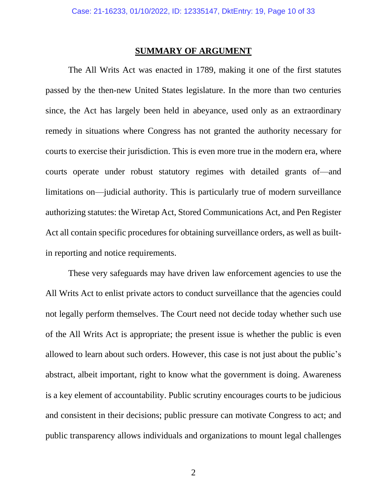## **SUMMARY OF ARGUMENT**

The All Writs Act was enacted in 1789, making it one of the first statutes passed by the then-new United States legislature. In the more than two centuries since, the Act has largely been held in abeyance, used only as an extraordinary remedy in situations where Congress has not granted the authority necessary for courts to exercise their jurisdiction. This is even more true in the modern era, where courts operate under robust statutory regimes with detailed grants of—and limitations on—judicial authority. This is particularly true of modern surveillance authorizing statutes: the Wiretap Act, Stored Communications Act, and Pen Register Act all contain specific procedures for obtaining surveillance orders, as well as builtin reporting and notice requirements.

These very safeguards may have driven law enforcement agencies to use the All Writs Act to enlist private actors to conduct surveillance that the agencies could not legally perform themselves. The Court need not decide today whether such use of the All Writs Act is appropriate; the present issue is whether the public is even allowed to learn about such orders. However, this case is not just about the public's abstract, albeit important, right to know what the government is doing. Awareness is a key element of accountability. Public scrutiny encourages courts to be judicious and consistent in their decisions; public pressure can motivate Congress to act; and public transparency allows individuals and organizations to mount legal challenges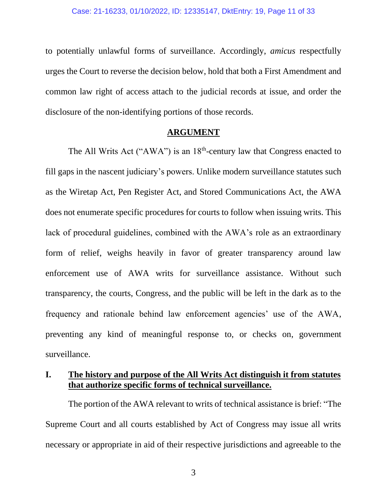to potentially unlawful forms of surveillance. Accordingly, *amicus* respectfully urges the Court to reverse the decision below, hold that both a First Amendment and common law right of access attach to the judicial records at issue, and order the disclosure of the non-identifying portions of those records.

#### **ARGUMENT**

The All Writs Act (" $AWA$ ") is an  $18<sup>th</sup>$ -century law that Congress enacted to fill gaps in the nascent judiciary's powers. Unlike modern surveillance statutes such as the Wiretap Act, Pen Register Act, and Stored Communications Act, the AWA does not enumerate specific procedures for courts to follow when issuing writs. This lack of procedural guidelines, combined with the AWA's role as an extraordinary form of relief, weighs heavily in favor of greater transparency around law enforcement use of AWA writs for surveillance assistance. Without such transparency, the courts, Congress, and the public will be left in the dark as to the frequency and rationale behind law enforcement agencies' use of the AWA, preventing any kind of meaningful response to, or checks on, government surveillance.

### **I. The history and purpose of the All Writs Act distinguish it from statutes that authorize specific forms of technical surveillance.**

The portion of the AWA relevant to writs of technical assistance is brief: "The Supreme Court and all courts established by Act of Congress may issue all writs necessary or appropriate in aid of their respective jurisdictions and agreeable to the

3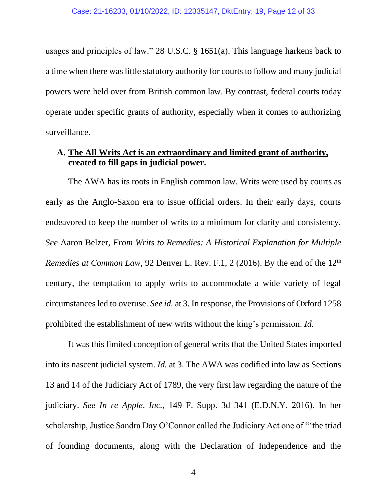usages and principles of law." 28 U.S.C. § 1651(a). This language harkens back to a time when there was little statutory authority for courts to follow and many judicial powers were held over from British common law. By contrast, federal courts today operate under specific grants of authority, especially when it comes to authorizing surveillance.

# **A. The All Writs Act is an extraordinary and limited grant of authority, created to fill gaps in judicial power.**

The AWA has its roots in English common law. Writs were used by courts as early as the Anglo-Saxon era to issue official orders. In their early days, courts endeavored to keep the number of writs to a minimum for clarity and consistency. *See* Aaron Belzer, *From Writs to Remedies: A Historical Explanation for Multiple Remedies at Common Law*, 92 Denver L. Rev. F.1, 2 (2016). By the end of the 12<sup>th</sup> century, the temptation to apply writs to accommodate a wide variety of legal circumstances led to overuse. *See id.* at 3. In response, the Provisions of Oxford 1258 prohibited the establishment of new writs without the king's permission. *Id.*

It was this limited conception of general writs that the United States imported into its nascent judicial system. *Id.* at 3. The AWA was codified into law as Sections 13 and 14 of the Judiciary Act of 1789, the very first law regarding the nature of the judiciary. *See In re Apple, Inc.*, 149 F. Supp. 3d 341 (E.D.N.Y. 2016). In her scholarship, Justice Sandra Day O'Connor called the Judiciary Act one of "'the triad of founding documents, along with the Declaration of Independence and the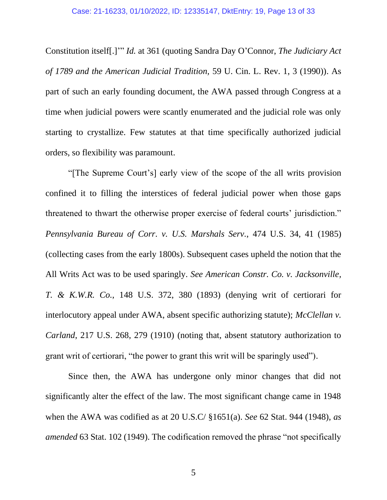Constitution itself[.]'" *Id.* at 361 (quoting Sandra Day O'Connor, *The Judiciary Act of 1789 and the American Judicial Tradition,* 59 U. Cin. L. Rev. 1, 3 (1990)). As part of such an early founding document, the AWA passed through Congress at a time when judicial powers were scantly enumerated and the judicial role was only starting to crystallize. Few statutes at that time specifically authorized judicial orders, so flexibility was paramount.

"[The Supreme Court's] early view of the scope of the all writs provision confined it to filling the interstices of federal judicial power when those gaps threatened to thwart the otherwise proper exercise of federal courts' jurisdiction." *Pennsylvania Bureau of Corr. v. U.S. Marshals Serv.*, 474 U.S. 34, 41 (1985) (collecting cases from the early 1800s). Subsequent cases upheld the notion that the All Writs Act was to be used sparingly. *See American Constr. Co. v. Jacksonville, T. & K.W.R. Co.*, 148 U.S. 372, 380 (1893) (denying writ of certiorari for interlocutory appeal under AWA, absent specific authorizing statute); *McClellan v. Carland*, 217 U.S. 268, 279 (1910) (noting that, absent statutory authorization to grant writ of certiorari, "the power to grant this writ will be sparingly used").

Since then, the AWA has undergone only minor changes that did not significantly alter the effect of the law. The most significant change came in 1948 when the AWA was codified as at 20 U.S.C/ §1651(a). *See* 62 Stat. 944 (1948), *as amended* 63 Stat. 102 (1949). The codification removed the phrase "not specifically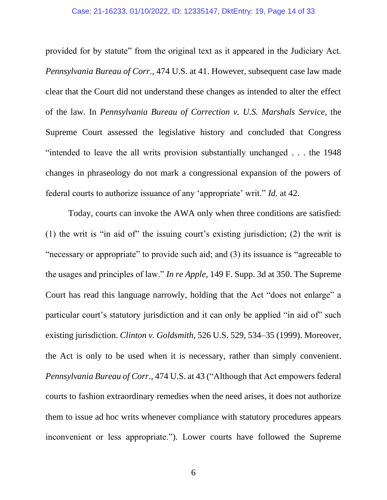#### Case: 21-16233, 01/10/2022, ID: 12335147, DktEntry: 19, Page 14 of 33

provided for by statute" from the original text as it appeared in the Judiciary Act. *Pennsylvania Bureau of Corr.*, 474 U.S. at 41. However, subsequent case law made clear that the Court did not understand these changes as intended to alter the effect of the law. In *Pennsylvania Bureau of Correction v. U.S. Marshals Service*, the Supreme Court assessed the legislative history and concluded that Congress "intended to leave the all writs provision substantially unchanged . . . the 1948 changes in phraseology do not mark a congressional expansion of the powers of federal courts to authorize issuance of any 'appropriate' writ." *Id.* at 42.

Today, courts can invoke the AWA only when three conditions are satisfied: (1) the writ is "in aid of" the issuing court's existing jurisdiction; (2) the writ is "necessary or appropriate" to provide such aid; and (3) its issuance is "agreeable to the usages and principles of law." *In re Apple*, 149 F. Supp. 3d at 350. The Supreme Court has read this language narrowly, holding that the Act "does not enlarge" a particular court's statutory jurisdiction and it can only be applied "in aid of" such existing jurisdiction. *Clinton v. Goldsmith*, 526 U.S. 529, 534–35 (1999). Moreover, the Act is only to be used when it is necessary, rather than simply convenient. *Pennsylvania Bureau of Corr.*, 474 U.S. at 43 ("Although that Act empowers federal courts to fashion extraordinary remedies when the need arises, it does not authorize them to issue ad hoc writs whenever compliance with statutory procedures appears inconvenient or less appropriate."). Lower courts have followed the Supreme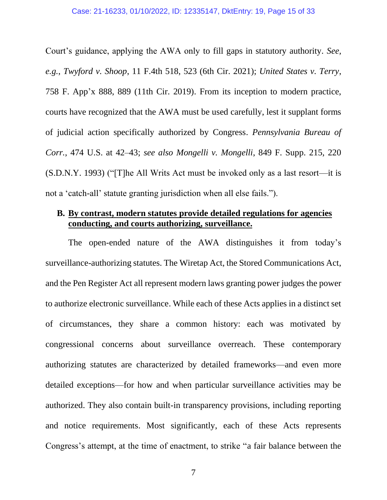Court's guidance, applying the AWA only to fill gaps in statutory authority. *See, e.g.*, *Twyford v. Shoop*, 11 F.4th 518, 523 (6th Cir. 2021); *United States v. Terry*, 758 F. App'x 888, 889 (11th Cir. 2019). From its inception to modern practice, courts have recognized that the AWA must be used carefully, lest it supplant forms of judicial action specifically authorized by Congress. *Pennsylvania Bureau of Corr.*, 474 U.S. at 42–43; *see also Mongelli v. Mongelli*, 849 F. Supp. 215, 220 (S.D.N.Y. 1993) ("[T]he All Writs Act must be invoked only as a last resort—it is not a 'catch-all' statute granting jurisdiction when all else fails.").

# **B. By contrast, modern statutes provide detailed regulations for agencies conducting, and courts authorizing, surveillance.**

The open-ended nature of the AWA distinguishes it from today's surveillance-authorizing statutes. The Wiretap Act, the Stored Communications Act, and the Pen Register Act all represent modern laws granting power judges the power to authorize electronic surveillance. While each of these Acts applies in a distinct set of circumstances, they share a common history: each was motivated by congressional concerns about surveillance overreach. These contemporary authorizing statutes are characterized by detailed frameworks—and even more detailed exceptions—for how and when particular surveillance activities may be authorized. They also contain built-in transparency provisions, including reporting and notice requirements. Most significantly, each of these Acts represents Congress's attempt, at the time of enactment, to strike "a fair balance between the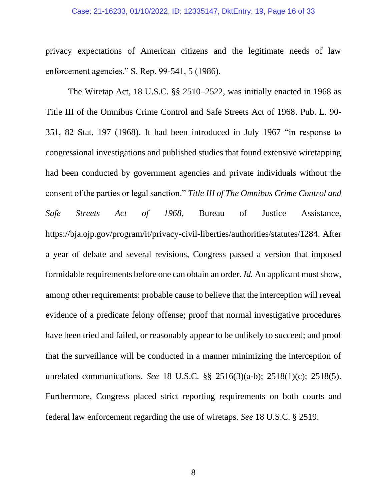#### Case: 21-16233, 01/10/2022, ID: 12335147, DktEntry: 19, Page 16 of 33

privacy expectations of American citizens and the legitimate needs of law enforcement agencies." S. Rep. 99-541, 5 (1986).

The Wiretap Act, 18 U.S.C. §§ 2510–2522, was initially enacted in 1968 as Title III of the Omnibus Crime Control and Safe Streets Act of 1968. Pub. L. 90- 351, 82 Stat. 197 (1968). It had been introduced in July 1967 "in response to congressional investigations and published studies that found extensive wiretapping had been conducted by government agencies and private individuals without the consent of the parties or legal sanction." *Title III of The Omnibus Crime Control and Safe Streets Act of 1968*, Bureau of Justice Assistance, https://bja.ojp.gov/program/it/privacy-civil-liberties/authorities/statutes/1284. After a year of debate and several revisions, Congress passed a version that imposed formidable requirements before one can obtain an order. *Id.* An applicant must show, among other requirements: probable cause to believe that the interception will reveal evidence of a predicate felony offense; proof that normal investigative procedures have been tried and failed, or reasonably appear to be unlikely to succeed; and proof that the surveillance will be conducted in a manner minimizing the interception of unrelated communications. *See* 18 U.S.C. §§ 2516(3)(a-b); 2518(1)(c); 2518(5). Furthermore, Congress placed strict reporting requirements on both courts and federal law enforcement regarding the use of wiretaps. *See* 18 U.S.C. § 2519.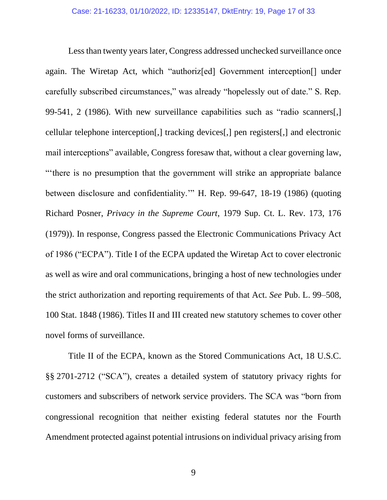Less than twenty years later, Congress addressed unchecked surveillance once again. The Wiretap Act, which "authoriz[ed] Government interception[] under carefully subscribed circumstances," was already "hopelessly out of date." S. Rep. 99-541, 2 (1986). With new surveillance capabilities such as "radio scanners[,] cellular telephone interception[,] tracking devices[,] pen registers[,] and electronic mail interceptions" available, Congress foresaw that, without a clear governing law, "'there is no presumption that the government will strike an appropriate balance between disclosure and confidentiality.'" H. Rep. 99-647, 18-19 (1986) (quoting Richard Posner, *Privacy in the Supreme Court*, 1979 Sup. Ct. L. Rev. 173, 176 (1979)). In response, Congress passed the Electronic Communications Privacy Act of 1986 ("ECPA"). Title I of the ECPA updated the Wiretap Act to cover electronic as well as wire and oral communications, bringing a host of new technologies under the strict authorization and reporting requirements of that Act. *See* Pub. L. 99–508, 100 Stat. 1848 (1986). Titles II and III created new statutory schemes to cover other novel forms of surveillance.

Title II of the ECPA, known as the Stored Communications Act, 18 U.S.C. §§ 2701-2712 ("SCA"), creates a detailed system of statutory privacy rights for customers and subscribers of network service providers. The SCA was "born from congressional recognition that neither existing federal statutes nor the Fourth Amendment protected against potential intrusions on individual privacy arising from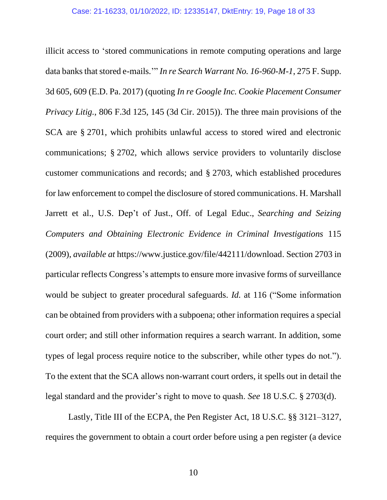illicit access to 'stored communications in remote computing operations and large data banks that stored e-mails.'" *In re Search Warrant No. 16-960-M-1*, 275 F. Supp. 3d 605, 609 (E.D. Pa. 2017) (quoting *In re Google Inc. Cookie Placement Consumer Privacy Litig.*, 806 F.3d 125, 145 (3d Cir. 2015)). The three main provisions of the SCA are § 2701, which prohibits unlawful access to stored wired and electronic communications; § 2702, which allows service providers to voluntarily disclose customer communications and records; and § 2703, which established procedures for law enforcement to compel the disclosure of stored communications. H. Marshall Jarrett et al., U.S. Dep't of Just., Off. of Legal Educ., *Searching and Seizing Computers and Obtaining Electronic Evidence in Criminal Investigations* 115 (2009), *available at* https://www.justice.gov/file/442111/download. Section 2703 in particular reflects Congress's attempts to ensure more invasive forms of surveillance would be subject to greater procedural safeguards. *Id.* at 116 ("Some information can be obtained from providers with a subpoena; other information requires a special court order; and still other information requires a search warrant. In addition, some types of legal process require notice to the subscriber, while other types do not."). To the extent that the SCA allows non-warrant court orders, it spells out in detail the legal standard and the provider's right to move to quash. *See* 18 U.S.C. § 2703(d).

Lastly, Title III of the ECPA, the Pen Register Act, 18 U.S.C. §§ 3121–3127, requires the government to obtain a court order before using a pen register (a device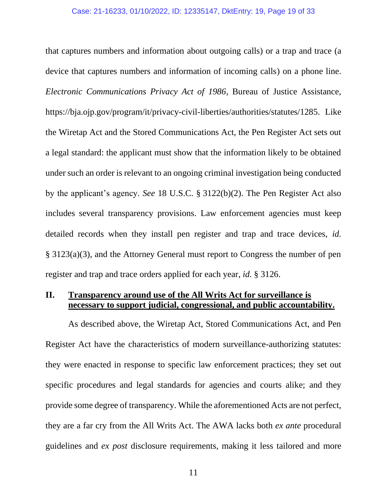that captures numbers and information about outgoing calls) or a trap and trace (a device that captures numbers and information of incoming calls) on a phone line. *Electronic Communications Privacy Act of 1986*, Bureau of Justice Assistance, https://bja.ojp.gov/program/it/privacy-civil-liberties/authorities/statutes/1285. Like the Wiretap Act and the Stored Communications Act, the Pen Register Act sets out a legal standard: the applicant must show that the information likely to be obtained under such an order is relevant to an ongoing criminal investigation being conducted by the applicant's agency. *See* 18 U.S.C. § 3122(b)(2). The Pen Register Act also includes several transparency provisions. Law enforcement agencies must keep detailed records when they install pen register and trap and trace devices, *id.* § 3123(a)(3), and the Attorney General must report to Congress the number of pen register and trap and trace orders applied for each year, *id.* § 3126.

## **II. Transparency around use of the All Writs Act for surveillance is necessary to support judicial, congressional, and public accountability.**

As described above, the Wiretap Act, Stored Communications Act, and Pen Register Act have the characteristics of modern surveillance-authorizing statutes: they were enacted in response to specific law enforcement practices; they set out specific procedures and legal standards for agencies and courts alike; and they provide some degree of transparency. While the aforementioned Acts are not perfect, they are a far cry from the All Writs Act. The AWA lacks both *ex ante* procedural guidelines and *ex post* disclosure requirements, making it less tailored and more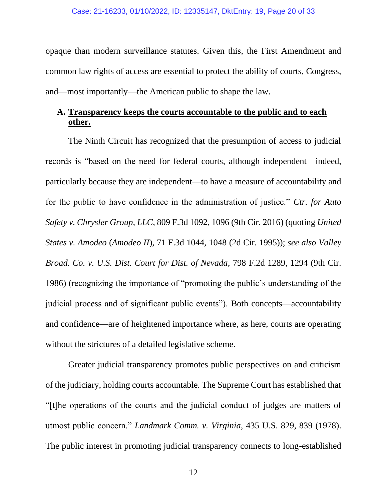opaque than modern surveillance statutes. Given this, the First Amendment and common law rights of access are essential to protect the ability of courts, Congress, and—most importantly—the American public to shape the law.

# **A. Transparency keeps the courts accountable to the public and to each other.**

The Ninth Circuit has recognized that the presumption of access to judicial records is "based on the need for federal courts, although independent—indeed, particularly because they are independent—to have a measure of accountability and for the public to have confidence in the administration of justice." *Ctr. for Auto Safety v. Chrysler Group, LLC*, 809 F.3d 1092, 1096 (9th Cir. 2016) (quoting *United States v. Amodeo* (*Amodeo II*), 71 F.3d 1044, 1048 (2d Cir. 1995)); *see also Valley Broad. Co. v. U.S. Dist. Court for Dist. of Nevada,* 798 F.2d 1289, 1294 (9th Cir. 1986) (recognizing the importance of "promoting the public's understanding of the judicial process and of significant public events"). Both concepts—accountability and confidence—are of heightened importance where, as here, courts are operating without the strictures of a detailed legislative scheme.

Greater judicial transparency promotes public perspectives on and criticism of the judiciary, holding courts accountable. The Supreme Court has established that "[t]he operations of the courts and the judicial conduct of judges are matters of utmost public concern." *Landmark Comm. v. Virginia,* 435 U.S. 829, 839 (1978). The public interest in promoting judicial transparency connects to long-established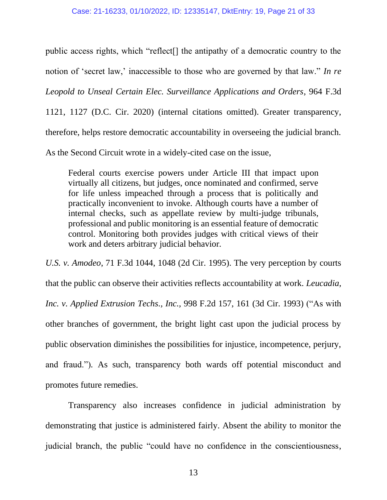public access rights, which "reflect[] the antipathy of a democratic country to the notion of 'secret law,' inaccessible to those who are governed by that law." *In re Leopold to Unseal Certain Elec. Surveillance Applications and Orders*, 964 F.3d 1121, 1127 (D.C. Cir. 2020) (internal citations omitted). Greater transparency, therefore, helps restore democratic accountability in overseeing the judicial branch. As the Second Circuit wrote in a widely-cited case on the issue,

Federal courts exercise powers under Article III that impact upon virtually all citizens, but judges, once nominated and confirmed, serve for life unless impeached through a process that is politically and practically inconvenient to invoke. Although courts have a number of internal checks, such as appellate review by multi-judge tribunals, professional and public monitoring is an essential feature of democratic control. Monitoring both provides judges with critical views of their

work and deters arbitrary judicial behavior.

*U.S. v. Amodeo*, 71 F.3d 1044, 1048 (2d Cir. 1995). The very perception by courts that the public can observe their activities reflects accountability at work. *Leucadia, Inc. v. Applied Extrusion Techs., Inc.,* 998 F.2d 157, 161 (3d Cir. 1993) ("As with other branches of government, the bright light cast upon the judicial process by public observation diminishes the possibilities for injustice, incompetence, perjury, and fraud.")*.* As such, transparency both wards off potential misconduct and promotes future remedies.

Transparency also increases confidence in judicial administration by demonstrating that justice is administered fairly. Absent the ability to monitor the judicial branch, the public "could have no confidence in the conscientiousness,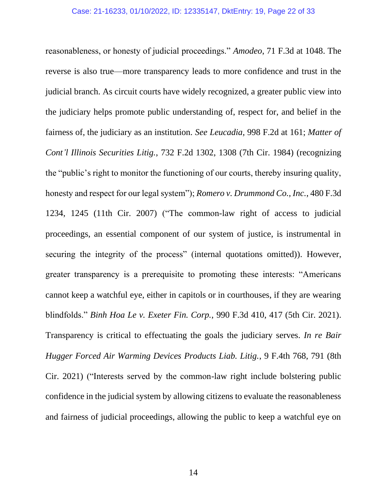reasonableness, or honesty of judicial proceedings." *Amodeo*, 71 F.3d at 1048. The reverse is also true—more transparency leads to more confidence and trust in the judicial branch. As circuit courts have widely recognized, a greater public view into the judiciary helps promote public understanding of, respect for, and belief in the fairness of, the judiciary as an institution. *See Leucadia,* 998 F.2d at 161; *Matter of Cont'l Illinois Securities Litig.*, 732 F.2d 1302, 1308 (7th Cir. 1984) (recognizing the "public's right to monitor the functioning of our courts, thereby insuring quality, honesty and respect for our legal system"); *Romero v. Drummond Co., Inc.*, 480 F.3d 1234, 1245 (11th Cir. 2007) ("The common-law right of access to judicial proceedings, an essential component of our system of justice, is instrumental in securing the integrity of the process" (internal quotations omitted)). However, greater transparency is a prerequisite to promoting these interests: "Americans cannot keep a watchful eye, either in capitols or in courthouses, if they are wearing blindfolds." *Binh Hoa Le v. Exeter Fin. Corp.*, 990 F.3d 410, 417 (5th Cir. 2021). Transparency is critical to effectuating the goals the judiciary serves. *In re Bair Hugger Forced Air Warming Devices Products Liab. Litig.*, 9 F.4th 768, 791 (8th Cir. 2021) ("Interests served by the common-law right include bolstering public confidence in the judicial system by allowing citizens to evaluate the reasonableness and fairness of judicial proceedings, allowing the public to keep a watchful eye on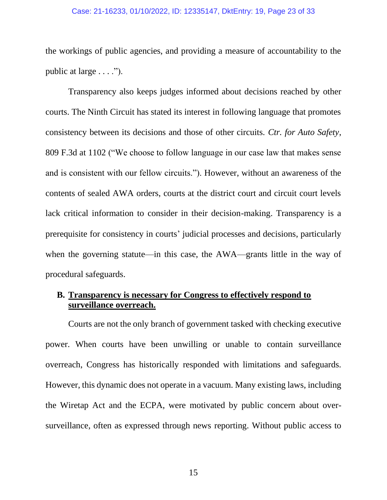#### Case: 21-16233, 01/10/2022, ID: 12335147, DktEntry: 19, Page 23 of 33

the workings of public agencies, and providing a measure of accountability to the public at large  $\dots$ .").

Transparency also keeps judges informed about decisions reached by other courts. The Ninth Circuit has stated its interest in following language that promotes consistency between its decisions and those of other circuits. *Ctr. for Auto Safety*, 809 F.3d at 1102 ("We choose to follow language in our case law that makes sense and is consistent with our fellow circuits."). However, without an awareness of the contents of sealed AWA orders, courts at the district court and circuit court levels lack critical information to consider in their decision-making. Transparency is a prerequisite for consistency in courts' judicial processes and decisions, particularly when the governing statute—in this case, the AWA—grants little in the way of procedural safeguards.

# **B. Transparency is necessary for Congress to effectively respond to surveillance overreach.**

Courts are not the only branch of government tasked with checking executive power. When courts have been unwilling or unable to contain surveillance overreach, Congress has historically responded with limitations and safeguards. However, this dynamic does not operate in a vacuum. Many existing laws, including the Wiretap Act and the ECPA, were motivated by public concern about oversurveillance, often as expressed through news reporting. Without public access to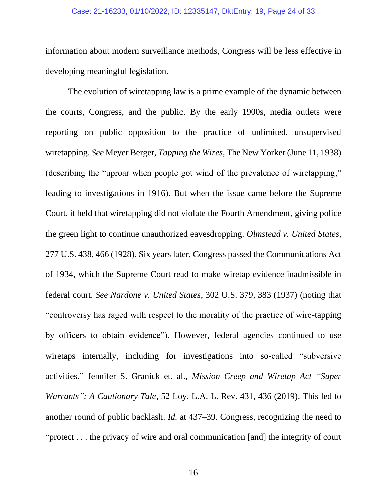#### Case: 21-16233, 01/10/2022, ID: 12335147, DktEntry: 19, Page 24 of 33

information about modern surveillance methods, Congress will be less effective in developing meaningful legislation.

The evolution of wiretapping law is a prime example of the dynamic between the courts, Congress, and the public. By the early 1900s, media outlets were reporting on public opposition to the practice of unlimited, unsupervised wiretapping. *See* Meyer Berger, *Tapping the Wires*, The New Yorker (June 11, 1938) (describing the "uproar when people got wind of the prevalence of wiretapping," leading to investigations in 1916). But when the issue came before the Supreme Court, it held that wiretapping did not violate the Fourth Amendment, giving police the green light to continue unauthorized eavesdropping. *Olmstead v. United States*, 277 U.S. 438, 466 (1928). Six years later, Congress passed the Communications Act of 1934, which the Supreme Court read to make wiretap evidence inadmissible in federal court. *See Nardone v. United States*, 302 U.S. 379, 383 (1937) (noting that "controversy has raged with respect to the morality of the practice of wire-tapping by officers to obtain evidence"). However, federal agencies continued to use wiretaps internally, including for investigations into so-called "subversive activities." Jennifer S. Granick et. al., *Mission Creep and Wiretap Act "Super Warrants": A Cautionary Tale*, 52 Loy. L.A. L. Rev. 431, 436 (2019). This led to another round of public backlash. *Id.* at 437–39. Congress, recognizing the need to "protect . . . the privacy of wire and oral communication [and] the integrity of court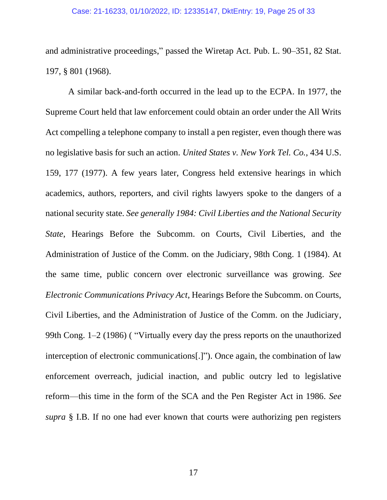#### Case: 21-16233, 01/10/2022, ID: 12335147, DktEntry: 19, Page 25 of 33

and administrative proceedings," passed the Wiretap Act. Pub. L. 90–351, 82 Stat. 197, § 801 (1968).

A similar back-and-forth occurred in the lead up to the ECPA. In 1977, the Supreme Court held that law enforcement could obtain an order under the All Writs Act compelling a telephone company to install a pen register, even though there was no legislative basis for such an action. *United States v. New York Tel. Co.*, 434 U.S. 159, 177 (1977). A few years later, Congress held extensive hearings in which academics, authors, reporters, and civil rights lawyers spoke to the dangers of a national security state. *See generally 1984: Civil Liberties and the National Security State*, Hearings Before the Subcomm. on Courts, Civil Liberties, and the Administration of Justice of the Comm. on the Judiciary, 98th Cong. 1 (1984). At the same time, public concern over electronic surveillance was growing. *See Electronic Communications Privacy Act*, Hearings Before the Subcomm. on Courts, Civil Liberties, and the Administration of Justice of the Comm. on the Judiciary, 99th Cong. 1–2 (1986) ( "Virtually every day the press reports on the unauthorized interception of electronic communications[.]"). Once again, the combination of law enforcement overreach, judicial inaction, and public outcry led to legislative reform—this time in the form of the SCA and the Pen Register Act in 1986. *See supra* § I.B. If no one had ever known that courts were authorizing pen registers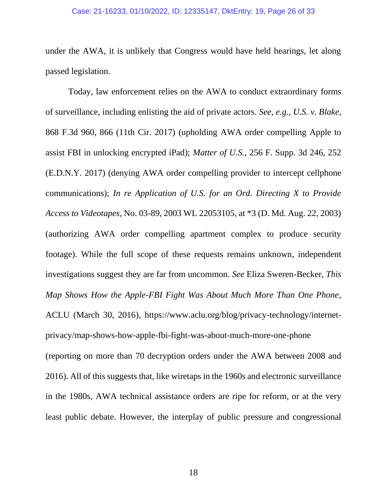#### Case: 21-16233, 01/10/2022, ID: 12335147, DktEntry: 19, Page 26 of 33

under the AWA, it is unlikely that Congress would have held hearings, let along passed legislation.

Today, law enforcement relies on the AWA to conduct extraordinary forms of surveillance, including enlisting the aid of private actors. *See, e.g.*, *U.S. v. Blake*, 868 F.3d 960, 866 (11th Cir. 2017) (upholding AWA order compelling Apple to assist FBI in unlocking encrypted iPad); *Matter of U.S.*, 256 F. Supp. 3d 246, 252 (E.D.N.Y. 2017) (denying AWA order compelling provider to intercept cellphone communications); *In re Application of U.S. for an Ord. Directing X to Provide Access to Videotapes*, No. 03-89, 2003 WL 22053105, at \*3 (D. Md. Aug. 22, 2003) (authorizing AWA order compelling apartment complex to produce security footage). While the full scope of these requests remains unknown, independent investigations suggest they are far from uncommon. *See* Eliza Sweren-Becker, *This Map Shows How the Apple-FBI Fight Was About Much More Than One Phone*, ACLU (March 30, 2016), https://www.aclu.org/blog/privacy-technology/internetprivacy/map-shows-how-apple-fbi-fight-was-about-much-more-one-phone (reporting on more than 70 decryption orders under the AWA between 2008 and 2016). All of this suggests that, like wiretaps in the 1960s and electronic surveillance in the 1980s, AWA technical assistance orders are ripe for reform, or at the very least public debate. However, the interplay of public pressure and congressional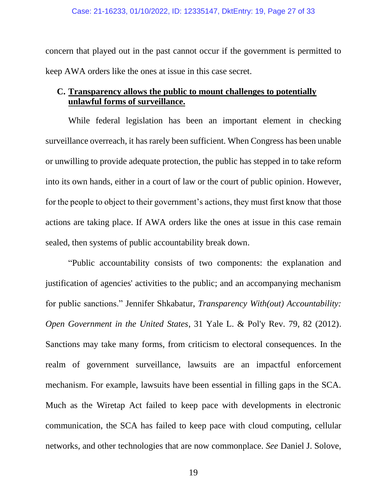concern that played out in the past cannot occur if the government is permitted to keep AWA orders like the ones at issue in this case secret.

# **C. Transparency allows the public to mount challenges to potentially unlawful forms of surveillance.**

While federal legislation has been an important element in checking surveillance overreach, it has rarely been sufficient. When Congress has been unable or unwilling to provide adequate protection, the public has stepped in to take reform into its own hands, either in a court of law or the court of public opinion. However, for the people to object to their government's actions, they must first know that those actions are taking place. If AWA orders like the ones at issue in this case remain sealed, then systems of public accountability break down.

"Public accountability consists of two components: the explanation and justification of agencies' activities to the public; and an accompanying mechanism for public sanctions." Jennifer Shkabatur, *Transparency With(out) Accountability: Open Government in the United States*, 31 Yale L. & Pol'y Rev. 79, 82 (2012). Sanctions may take many forms, from criticism to electoral consequences. In the realm of government surveillance, lawsuits are an impactful enforcement mechanism. For example, lawsuits have been essential in filling gaps in the SCA. Much as the Wiretap Act failed to keep pace with developments in electronic communication, the SCA has failed to keep pace with cloud computing, cellular networks, and other technologies that are now commonplace. *See* Daniel J. Solove,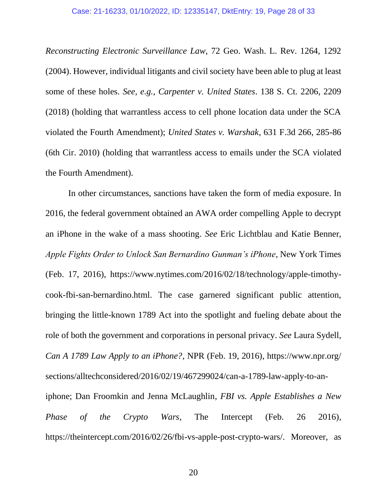#### Case: 21-16233, 01/10/2022, ID: 12335147, DktEntry: 19, Page 28 of 33

*Reconstructing Electronic Surveillance Law*, 72 Geo. Wash. L. Rev. 1264, 1292 (2004). However, individual litigants and civil society have been able to plug at least some of these holes. *See, e.g.*, *Carpenter v. United States*. 138 S. Ct. 2206, 2209 (2018) (holding that warrantless access to cell phone location data under the SCA violated the Fourth Amendment); *United States v. Warshak*, 631 F.3d 266, 285-86 (6th Cir. 2010) (holding that warrantless access to emails under the SCA violated the Fourth Amendment).

In other circumstances, sanctions have taken the form of media exposure. In 2016, the federal government obtained an AWA order compelling Apple to decrypt an iPhone in the wake of a mass shooting. *See* Eric Lichtblau and Katie Benner, *Apple Fights Order to Unlock San Bernardino Gunman's iPhone*, New York Times (Feb. 17, 2016), https://www.nytimes.com/2016/02/18/technology/apple-timothycook-fbi-san-bernardino.html. The case garnered significant public attention, bringing the little-known 1789 Act into the spotlight and fueling debate about the role of both the government and corporations in personal privacy. *See* Laura Sydell, *Can A 1789 Law Apply to an iPhone?*, NPR (Feb. 19, 2016), https://www.npr.org/ sections/alltechconsidered/2016/02/19/467299024/can-a-1789-law-apply-to-aniphone; Dan Froomkin and Jenna McLaughlin, *FBI vs. Apple Establishes a New Phase of the Crypto Wars*, The Intercept (Feb. 26 2016),

https://theintercept.com/2016/02/26/fbi-vs-apple-post-crypto-wars/. Moreover, as

20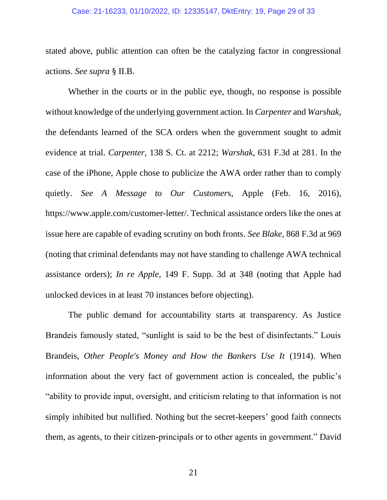#### Case: 21-16233, 01/10/2022, ID: 12335147, DktEntry: 19, Page 29 of 33

stated above, public attention can often be the catalyzing factor in congressional actions. *See supra* § II.B.

Whether in the courts or in the public eye, though, no response is possible without knowledge of the underlying government action. In *Carpenter* and *Warshak*, the defendants learned of the SCA orders when the government sought to admit evidence at trial. *Carpenter*, 138 S. Ct. at 2212; *Warshak*, 631 F.3d at 281. In the case of the iPhone, Apple chose to publicize the AWA order rather than to comply quietly. *See A Message to Our Customer*s, Apple (Feb. 16, 2016), https://www.apple.com/customer-letter/. Technical assistance orders like the ones at issue here are capable of evading scrutiny on both fronts. *See Blake*, 868 F.3d at 969 (noting that criminal defendants may not have standing to challenge AWA technical assistance orders); *In re Apple*, 149 F. Supp. 3d at 348 (noting that Apple had unlocked devices in at least 70 instances before objecting).

The public demand for accountability starts at transparency. As Justice Brandeis famously stated, "sunlight is said to be the best of disinfectants." Louis Brandeis, *Other People's Money and How the Bankers Use It* (1914). When information about the very fact of government action is concealed, the public's "ability to provide input, oversight, and criticism relating to that information is not simply inhibited but nullified. Nothing but the secret-keepers' good faith connects them, as agents, to their citizen-principals or to other agents in government." David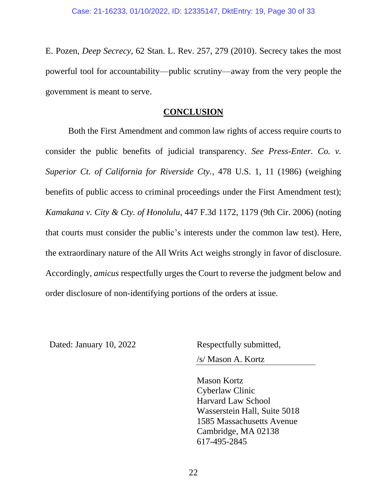E. Pozen, *Deep Secrecy*, 62 Stan. L. Rev. 257, 279 (2010). Secrecy takes the most powerful tool for accountability—public scrutiny—away from the very people the government is meant to serve.

#### **CONCLUSION**

Both the First Amendment and common law rights of access require courts to consider the public benefits of judicial transparency. *See Press-Enter. Co. v. Superior Ct. of California for Riverside Cty.*, 478 U.S. 1, 11 (1986) (weighing benefits of public access to criminal proceedings under the First Amendment test); *Kamakana v. City & Cty. of Honolulu*, 447 F.3d 1172, 1179 (9th Cir. 2006) (noting that courts must consider the public's interests under the common law test). Here, the extraordinary nature of the All Writs Act weighs strongly in favor of disclosure. Accordingly, *amicus* respectfully urges the Court to reverse the judgment below and order disclosure of non-identifying portions of the orders at issue.

Dated: January 10, 2022 Respectfully submitted,

/s/ Mason A. Kortz

Mason Kortz Cyberlaw Clinic Harvard Law School Wasserstein Hall, Suite 5018 1585 Massachusetts Avenue Cambridge, MA 02138 617-495-2845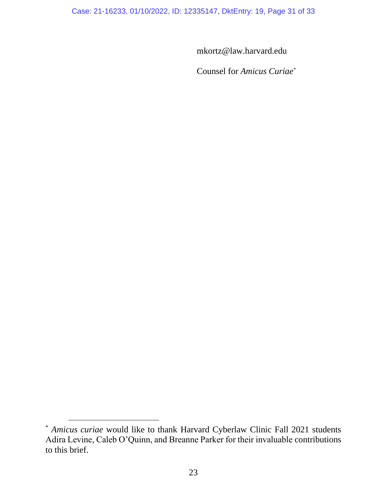Case: 21-16233, 01/10/2022, ID: 12335147, DktEntry: 19, Page 31 of 33

mkortz@law.harvard.edu

Counsel for *Amicus Curiae*\*

<sup>\*</sup> *Amicus curiae* would like to thank Harvard Cyberlaw Clinic Fall 2021 students Adira Levine, Caleb O'Quinn, and Breanne Parker for their invaluable contributions to this brief.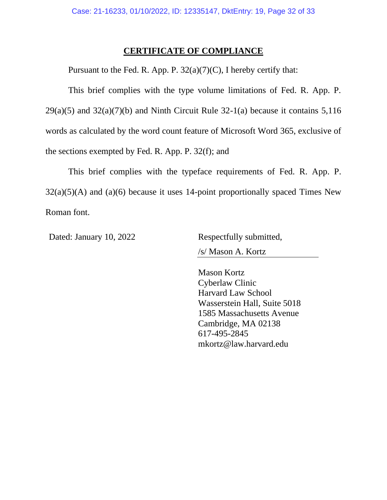### **CERTIFICATE OF COMPLIANCE**

Pursuant to the Fed. R. App. P. 32(a)(7)(C), I hereby certify that:

This brief complies with the type volume limitations of Fed. R. App. P.  $29(a)(5)$  and  $32(a)(7)(b)$  and Ninth Circuit Rule  $32-1(a)$  because it contains  $5,116$ words as calculated by the word count feature of Microsoft Word 365, exclusive of the sections exempted by Fed. R. App. P. 32(f); and

This brief complies with the typeface requirements of Fed. R. App. P.  $32(a)(5)(A)$  and  $(a)(6)$  because it uses 14-point proportionally spaced Times New Roman font.

Dated: January 10, 2022 Respectfully submitted,

/s/ Mason A. Kortz

Mason Kortz Cyberlaw Clinic Harvard Law School Wasserstein Hall, Suite 5018 1585 Massachusetts Avenue Cambridge, MA 02138 617-495-2845 mkortz@law.harvard.edu